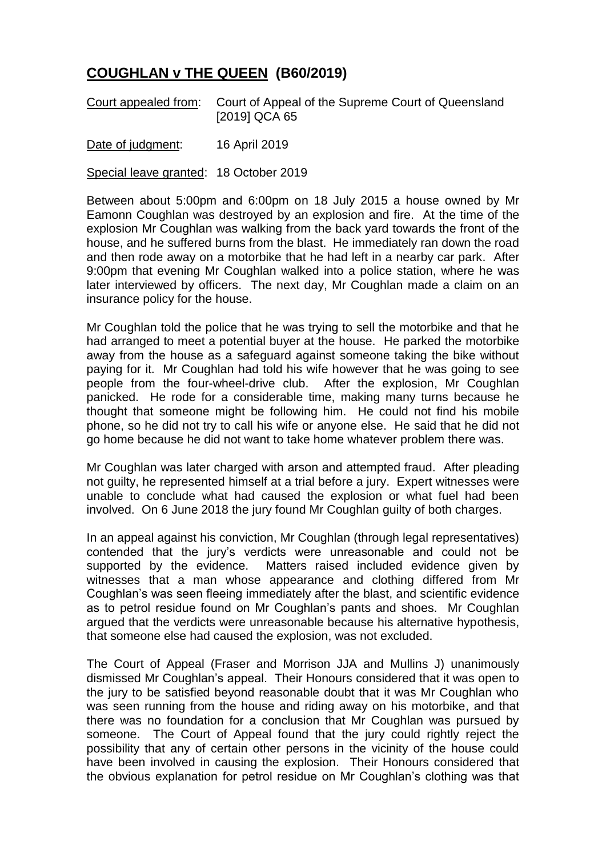## **COUGHLAN v THE QUEEN (B60/2019)**

Court appealed from: Court of Appeal of the Supreme Court of Queensland [2019] QCA 65

Date of judgment: 16 April 2019

Special leave granted: 18 October 2019

Between about 5:00pm and 6:00pm on 18 July 2015 a house owned by Mr Eamonn Coughlan was destroyed by an explosion and fire. At the time of the explosion Mr Coughlan was walking from the back yard towards the front of the house, and he suffered burns from the blast. He immediately ran down the road and then rode away on a motorbike that he had left in a nearby car park. After 9:00pm that evening Mr Coughlan walked into a police station, where he was later interviewed by officers. The next day, Mr Coughlan made a claim on an insurance policy for the house.

Mr Coughlan told the police that he was trying to sell the motorbike and that he had arranged to meet a potential buyer at the house. He parked the motorbike away from the house as a safeguard against someone taking the bike without paying for it. Mr Coughlan had told his wife however that he was going to see people from the four-wheel-drive club. After the explosion, Mr Coughlan panicked. He rode for a considerable time, making many turns because he thought that someone might be following him. He could not find his mobile phone, so he did not try to call his wife or anyone else. He said that he did not go home because he did not want to take home whatever problem there was.

Mr Coughlan was later charged with arson and attempted fraud. After pleading not guilty, he represented himself at a trial before a jury. Expert witnesses were unable to conclude what had caused the explosion or what fuel had been involved. On 6 June 2018 the jury found Mr Coughlan guilty of both charges.

In an appeal against his conviction, Mr Coughlan (through legal representatives) contended that the jury's verdicts were unreasonable and could not be supported by the evidence. Matters raised included evidence given by witnesses that a man whose appearance and clothing differed from Mr Coughlan's was seen fleeing immediately after the blast, and scientific evidence as to petrol residue found on Mr Coughlan's pants and shoes. Mr Coughlan argued that the verdicts were unreasonable because his alternative hypothesis, that someone else had caused the explosion, was not excluded.

The Court of Appeal (Fraser and Morrison JJA and Mullins J) unanimously dismissed Mr Coughlan's appeal. Their Honours considered that it was open to the jury to be satisfied beyond reasonable doubt that it was Mr Coughlan who was seen running from the house and riding away on his motorbike, and that there was no foundation for a conclusion that Mr Coughlan was pursued by someone. The Court of Appeal found that the jury could rightly reject the possibility that any of certain other persons in the vicinity of the house could have been involved in causing the explosion. Their Honours considered that the obvious explanation for petrol residue on Mr Coughlan's clothing was that